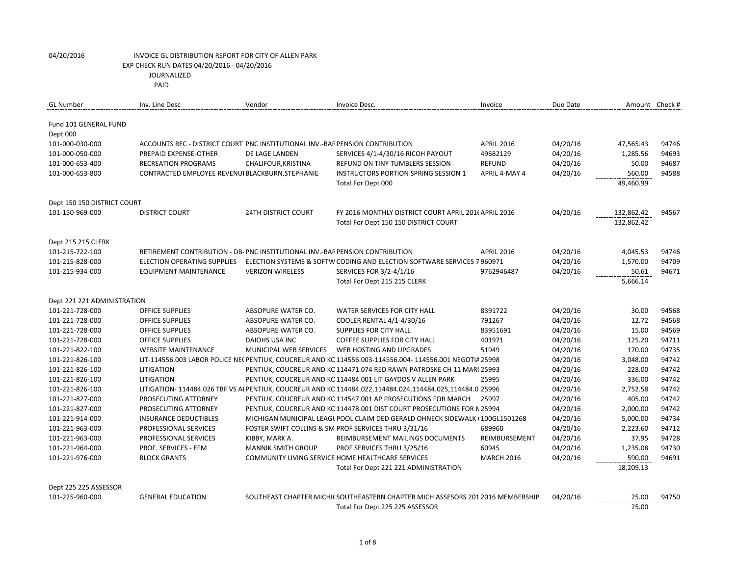PAID

| <b>GL Number</b>            | Inv. Line Desc                                                                | Vendor                     | Invoice Desc.                                                                                             | Invoice           | Due Date | Amount Check # |       |
|-----------------------------|-------------------------------------------------------------------------------|----------------------------|-----------------------------------------------------------------------------------------------------------|-------------------|----------|----------------|-------|
| Fund 101 GENERAL FUND       |                                                                               |                            |                                                                                                           |                   |          |                |       |
| Dept 000                    |                                                                               |                            |                                                                                                           |                   |          |                |       |
| 101-000-030-000             | ACCOUNTS REC - DISTRICT COURT PNC INSTITUTIONAL INV.-BAF PENSION CONTRIBUTION |                            |                                                                                                           | <b>APRIL 2016</b> | 04/20/16 | 47,565.43      | 94746 |
| 101-000-050-000             | PREPAID EXPENSE-OTHER                                                         | DE LAGE LANDEN             | SERVICES 4/1-4/30/16 RICOH PAYOUT                                                                         | 49682129          | 04/20/16 | 1,285.56       | 94693 |
| 101-000-653-400             | <b>RECREATION PROGRAMS</b>                                                    | CHALIFOUR, KRISTINA        | <b>REFUND ON TINY TUMBLERS SESSION</b>                                                                    | <b>REFUND</b>     | 04/20/16 | 50.00          | 94687 |
| 101-000-653-800             | CONTRACTED EMPLOYEE REVENUI BLACKBURN, STEPHANIE                              |                            | <b>INSTRUCTORS PORTION SPRING SESSION 1</b>                                                               | APRIL 4-MAY 4     | 04/20/16 | 560.00         | 94588 |
|                             |                                                                               |                            | Total For Dept 000                                                                                        |                   |          | 49,460.99      |       |
| Dept 150 150 DISTRICT COURT |                                                                               |                            |                                                                                                           |                   |          |                |       |
| 101-150-969-000             | <b>DISTRICT COURT</b>                                                         | <b>24TH DISTRICT COURT</b> | FY 2016 MONTHLY DISTRICT COURT APRIL 2016 APRIL 2016                                                      |                   | 04/20/16 | 132,862.42     | 94567 |
|                             |                                                                               |                            | Total For Dept 150 150 DISTRICT COURT                                                                     |                   |          | 132,862.42     |       |
| Dept 215 215 CLERK          |                                                                               |                            |                                                                                                           |                   |          |                |       |
| 101-215-722-100             | RETIREMENT CONTRIBUTION - DB- PNC INSTITUTIONAL INV.-BAF PENSION CONTRIBUTION |                            |                                                                                                           | <b>APRIL 2016</b> | 04/20/16 | 4,045.53       | 94746 |
| 101-215-828-000             | ELECTION OPERATING SUPPLIES                                                   |                            | ELECTION SYSTEMS & SOFTW CODING AND ELECTION SOFTWARE SERVICES 7 960971                                   |                   | 04/20/16 | 1,570.00       | 94709 |
| 101-215-934-000             | EQUIPMENT MAINTENANCE                                                         | <b>VERIZON WIRELESS</b>    | SERVICES FOR 3/2-4/1/16                                                                                   | 9762946487        | 04/20/16 | 50.61          | 94671 |
|                             |                                                                               |                            | Total For Dept 215 215 CLERK                                                                              |                   |          | 5,666.14       |       |
| Dept 221 221 ADMINISTRATION |                                                                               |                            |                                                                                                           |                   |          |                |       |
| 101-221-728-000             | <b>OFFICE SUPPLIES</b>                                                        | ABSOPURE WATER CO.         | WATER SERVICES FOR CITY HALL                                                                              | 8391722           | 04/20/16 | 30.00          | 94568 |
| 101-221-728-000             | <b>OFFICE SUPPLIES</b>                                                        | ABSOPURE WATER CO.         | COOLER RENTAL 4/1-4/30/16                                                                                 | 791267            | 04/20/16 | 12.72          | 94568 |
| 101-221-728-000             | <b>OFFICE SUPPLIES</b>                                                        | ABSOPURE WATER CO.         | <b>SUPPLIES FOR CITY HALL</b>                                                                             | 83951691          | 04/20/16 | 15.00          | 94569 |
| 101-221-728-000             | <b>OFFICE SUPPLIES</b>                                                        | DAIOHS USA INC             | <b>COFFEE SUPPLIES FOR CITY HALL</b>                                                                      | 401971            | 04/20/16 | 125.20         | 94711 |
| 101-221-822-100             | <b>WEBSITE MAINTENANCE</b>                                                    | MUNICIPAL WEB SERVICES     | WEB HOSTING AND UPGRADES                                                                                  | 51949             | 04/20/16 | 170.00         | 94735 |
| 101-221-826-100             |                                                                               |                            | LIT-114556.003 LABOR POLICE NE( PENTIUK, COUCREUR AND KC 114556.003-114556.004- 114556.001 NEGOTIA 25998  |                   | 04/20/16 | 3,048.00       | 94742 |
| 101-221-826-100             | LITIGATION                                                                    |                            | PENTIUK, COUCREUR AND KC 114471.074 RED RAWN PATROSKE CH 11 MAR(25993                                     |                   | 04/20/16 | 228.00         | 94742 |
| 101-221-826-100             | LITIGATION                                                                    |                            | PENTIUK, COUCREUR AND KC 114484.001 LIT GAYDOS V ALLEN PARK                                               | 25995             | 04/20/16 | 336.00         | 94742 |
| 101-221-826-100             |                                                                               |                            | LITIGATION- 114484.026 TBF VS AI PENTIUK, COUCREUR AND KC 114484.022,114484.024,114484.025,114484.0 25996 |                   | 04/20/16 | 2,752.58       | 94742 |
| 101-221-827-000             | PROSECUTING ATTORNEY                                                          |                            | PENTIUK, COUCREUR AND KC 114547.001 AP PROSECUTIONS FOR MARCH                                             | 25997             | 04/20/16 | 405.00         | 94742 |
| 101-221-827-000             | PROSECUTING ATTORNEY                                                          |                            | PENTIUK, COUCREUR AND KC 114478.001 DIST COURT PROSECUTIONS FOR N 25994                                   |                   | 04/20/16 | 2,000.00       | 94742 |
| 101-221-914-000             | <b>INSURANCE DEDUCTIBLES</b>                                                  |                            | MICHIGAN MUNICIPAL LEAGL POOL CLAIM DED GERALD OHNECK SIDEWALK (100GL1501268                              |                   | 04/20/16 | 5,000.00       | 94734 |
| 101-221-963-000             | PROFESSIONAL SERVICES                                                         |                            | FOSTER SWIFT COLLINS & SM PROF SERVICES THRU 3/31/16                                                      | 689960            | 04/20/16 | 2,223.60       | 94712 |
| 101-221-963-000             | PROFESSIONAL SERVICES                                                         | KIBBY, MARK A.             | REIMBURSEMENT MAILINGS DOCUMENTS                                                                          | REIMBURSEMENT     | 04/20/16 | 37.95          | 94728 |
| 101-221-964-000             | PROF. SERVICES - EFM                                                          | <b>MANNIK SMITH GROUP</b>  | PROF SERVICES THRU 3/25/16                                                                                | 60945             | 04/20/16 | 1,235.08       | 94730 |
| 101-221-976-000             | <b>BLOCK GRANTS</b>                                                           |                            | COMMUNITY LIVING SERVICE HOME HEALTHCARE SERVICES                                                         | <b>MARCH 2016</b> | 04/20/16 | 590.00         | 94691 |
|                             |                                                                               |                            | Total For Dept 221 221 ADMINISTRATION                                                                     |                   |          | 18,209.13      |       |
| Dept 225 225 ASSESSOR       |                                                                               |                            |                                                                                                           |                   |          |                |       |
| 101-225-960-000             | <b>GENERAL EDUCATION</b>                                                      |                            | SOUTHEAST CHAPTER MICHI(SOUTHEASTERN CHAPTER MICH ASSESORS 201 2016 MEMBERSHIP                            |                   | 04/20/16 | 25.00          | 94750 |
|                             |                                                                               |                            | Total For Dept 225 225 ASSESSOR                                                                           |                   |          | 25.00          |       |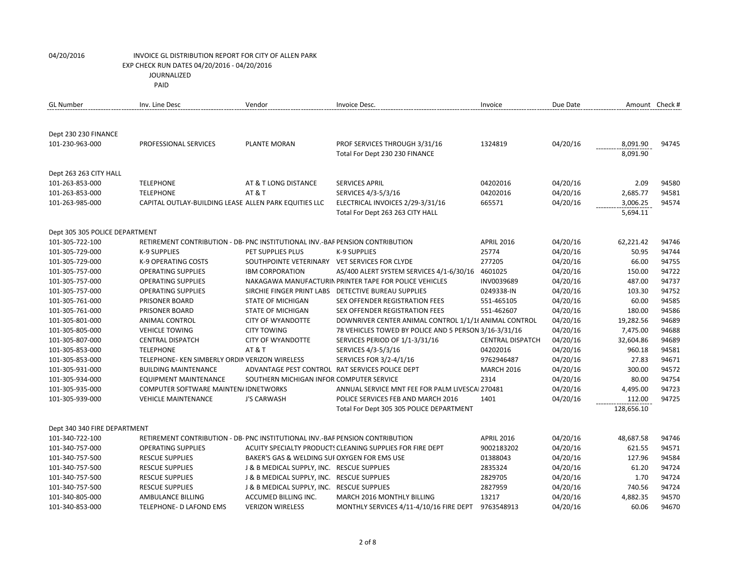| PAID |
|------|
|------|

| <b>GL Number</b>                                  | Inv. Line Desc                                                                | Vendor                                        | Invoice Desc.                                             | Invoice                 | Due Date | Amount Check # |       |
|---------------------------------------------------|-------------------------------------------------------------------------------|-----------------------------------------------|-----------------------------------------------------------|-------------------------|----------|----------------|-------|
|                                                   |                                                                               |                                               |                                                           |                         |          |                |       |
| Dept 230 230 FINANCE                              |                                                                               |                                               |                                                           |                         |          |                |       |
| 101-230-963-000                                   | PROFESSIONAL SERVICES                                                         | <b>PLANTE MORAN</b>                           | PROF SERVICES THROUGH 3/31/16                             | 1324819                 | 04/20/16 | 8,091.90       | 94745 |
|                                                   |                                                                               |                                               | Total For Dept 230 230 FINANCE                            |                         |          | 8,091.90       |       |
|                                                   |                                                                               |                                               |                                                           |                         |          |                |       |
| Dept 263 263 CITY HALL                            |                                                                               |                                               |                                                           |                         |          |                |       |
| 101-263-853-000                                   | <b>TELEPHONE</b>                                                              | AT & T LONG DISTANCE                          | <b>SERVICES APRIL</b>                                     | 04202016                | 04/20/16 | 2.09           | 94580 |
| 101-263-853-000                                   | <b>TELEPHONE</b>                                                              | <b>AT &amp; T</b>                             | SERVICES 4/3-5/3/16                                       | 04202016                | 04/20/16 | 2,685.77       | 94581 |
| 101-263-985-000                                   | CAPITAL OUTLAY-BUILDING LEASE ALLEN PARK EQUITIES LLC                         |                                               | ELECTRICAL INVOICES 2/29-3/31/16                          | 665571                  | 04/20/16 | 3,006.25       | 94574 |
|                                                   |                                                                               |                                               | Total For Dept 263 263 CITY HALL                          |                         |          | 5,694.11       |       |
|                                                   |                                                                               |                                               |                                                           |                         |          |                |       |
| Dept 305 305 POLICE DEPARTMENT<br>101-305-722-100 | RETIREMENT CONTRIBUTION - DB- PNC INSTITUTIONAL INV.-BAF PENSION CONTRIBUTION |                                               |                                                           | <b>APRIL 2016</b>       | 04/20/16 | 62,221.42      | 94746 |
| 101-305-729-000                                   | <b>K-9 SUPPLIES</b>                                                           | PET SUPPLIES PLUS                             | <b>K-9 SUPPLIES</b>                                       | 25774                   | 04/20/16 | 50.95          | 94744 |
| 101-305-729-000                                   | K-9 OPERATING COSTS                                                           | SOUTHPOINTE VETERINARY VET SERVICES FOR CLYDE |                                                           | 277205                  | 04/20/16 | 66.00          | 94755 |
| 101-305-757-000                                   | <b>OPERATING SUPPLIES</b>                                                     | <b>IBM CORPORATION</b>                        | AS/400 ALERT SYSTEM SERVICES 4/1-6/30/16                  | 4601025                 | 04/20/16 | 150.00         | 94722 |
| 101-305-757-000                                   | <b>OPERATING SUPPLIES</b>                                                     |                                               | NAKAGAWA MANUFACTURIN PRINTER TAPE FOR POLICE VEHICLES    | INV0039689              | 04/20/16 | 487.00         | 94737 |
| 101-305-757-000                                   | <b>OPERATING SUPPLIES</b>                                                     | SIRCHIE FINGER PRINT LABS                     | <b>DETECTIVE BUREAU SUPPLIES</b>                          | 0249338-IN              | 04/20/16 | 103.30         | 94752 |
| 101-305-761-000                                   | PRISONER BOARD                                                                | <b>STATE OF MICHIGAN</b>                      | <b>SEX OFFENDER REGISTRATION FEES</b>                     | 551-465105              | 04/20/16 | 60.00          | 94585 |
| 101-305-761-000                                   | PRISONER BOARD                                                                | <b>STATE OF MICHIGAN</b>                      | <b>SEX OFFENDER REGISTRATION FEES</b>                     | 551-462607              | 04/20/16 | 180.00         | 94586 |
| 101-305-801-000                                   | <b>ANIMAL CONTROL</b>                                                         | <b>CITY OF WYANDOTTE</b>                      | DOWNRIVER CENTER ANIMAL CONTROL 1/1/1( ANIMAL CONTROL     |                         | 04/20/16 | 19,282.56      | 94689 |
| 101-305-805-000                                   | <b>VEHICLE TOWING</b>                                                         | <b>CITY TOWING</b>                            | 78 VEHICLES TOWED BY POLICE AND 5 PERSON 3/16-3/31/16     |                         | 04/20/16 | 7,475.00       | 94688 |
| 101-305-807-000                                   | <b>CENTRAL DISPATCH</b>                                                       | <b>CITY OF WYANDOTTE</b>                      | SERVICES PERIOD OF 1/1-3/31/16                            | <b>CENTRAL DISPATCH</b> | 04/20/16 | 32,604.86      | 94689 |
| 101-305-853-000                                   | <b>TELEPHONE</b>                                                              | <b>AT &amp; T</b>                             | SERVICES 4/3-5/3/16                                       | 04202016                | 04/20/16 | 960.18         | 94581 |
| 101-305-853-000                                   | TELEPHONE- KEN SIMBERLY ORDIN VERIZON WIRELESS                                |                                               | SERVICES FOR 3/2-4/1/16                                   | 9762946487              | 04/20/16 | 27.83          | 94671 |
| 101-305-931-000                                   | <b>BUILDING MAINTENANCE</b>                                                   |                                               | ADVANTAGE PEST CONTROL RAT SERVICES POLICE DEPT           | <b>MARCH 2016</b>       | 04/20/16 | 300.00         | 94572 |
| 101-305-934-000                                   | EQUIPMENT MAINTENANCE                                                         | SOUTHERN MICHIGAN INFOR COMPUTER SERVICE      |                                                           | 2314                    | 04/20/16 | 80.00          | 94754 |
| 101-305-935-000                                   | <b>COMPUTER SOFTWARE MAINTEN/IDNETWORKS</b>                                   |                                               | ANNUAL SERVICE MNT FEE FOR PALM LIVESCAI 270481           |                         | 04/20/16 | 4,495.00       | 94723 |
| 101-305-939-000                                   | <b>VEHICLE MAINTENANCE</b>                                                    | <b>J'S CARWASH</b>                            | POLICE SERVICES FEB AND MARCH 2016                        | 1401                    | 04/20/16 | 112.00         | 94725 |
|                                                   |                                                                               |                                               | Total For Dept 305 305 POLICE DEPARTMENT                  |                         |          | 128,656.10     |       |
| Dept 340 340 FIRE DEPARTMENT                      |                                                                               |                                               |                                                           |                         |          |                |       |
| 101-340-722-100                                   | RETIREMENT CONTRIBUTION - DB- PNC INSTITUTIONAL INV.-BAF PENSION CONTRIBUTION |                                               |                                                           | <b>APRIL 2016</b>       | 04/20/16 | 48,687.58      | 94746 |
| 101-340-757-000                                   | <b>OPERATING SUPPLIES</b>                                                     |                                               | ACUITY SPECIALTY PRODUCTS CLEANING SUPPLIES FOR FIRE DEPT | 9002183202              | 04/20/16 | 621.55         | 94571 |
| 101-340-757-500                                   | <b>RESCUE SUPPLIES</b>                                                        | BAKER'S GAS & WELDING SUI OXYGEN FOR EMS USE  |                                                           | 01388043                | 04/20/16 | 127.96         | 94584 |
| 101-340-757-500                                   | <b>RESCUE SUPPLIES</b>                                                        | J & B MEDICAL SUPPLY, INC. RESCUE SUPPLIES    |                                                           | 2835324                 | 04/20/16 | 61.20          | 94724 |
| 101-340-757-500                                   | <b>RESCUE SUPPLIES</b>                                                        | J & B MEDICAL SUPPLY, INC. RESCUE SUPPLIES    |                                                           | 2829705                 | 04/20/16 | 1.70           | 94724 |
| 101-340-757-500                                   | <b>RESCUE SUPPLIES</b>                                                        | J & B MEDICAL SUPPLY, INC. RESCUE SUPPLIES    |                                                           | 2827959                 | 04/20/16 | 740.56         | 94724 |
| 101-340-805-000                                   | AMBULANCE BILLING                                                             | ACCUMED BILLING INC.                          | MARCH 2016 MONTHLY BILLING                                | 13217                   | 04/20/16 | 4,882.35       | 94570 |
| 101-340-853-000                                   | TELEPHONE- D LAFOND EMS                                                       | <b>VERIZON WIRELESS</b>                       | MONTHLY SERVICES 4/11-4/10/16 FIRE DEPT                   | 9763548913              | 04/20/16 | 60.06          | 94670 |
|                                                   |                                                                               |                                               |                                                           |                         |          |                |       |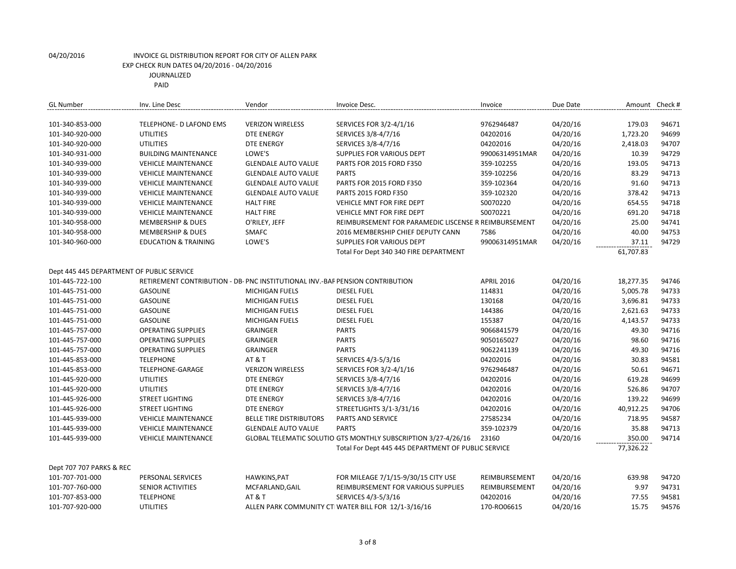| <b>GL Number</b>                          | Inv. Line Desc                                                                | Vendor                         | Invoice Desc.                                                  | Invoice           | Due Date |           | Amount Check # |
|-------------------------------------------|-------------------------------------------------------------------------------|--------------------------------|----------------------------------------------------------------|-------------------|----------|-----------|----------------|
| 101-340-853-000                           | TELEPHONE- D LAFOND EMS                                                       | <b>VERIZON WIRELESS</b>        | SERVICES FOR 3/2-4/1/16                                        | 9762946487        | 04/20/16 | 179.03    | 94671          |
| 101-340-920-000                           | <b>UTILITIES</b>                                                              | <b>DTE ENERGY</b>              | SERVICES 3/8-4/7/16                                            | 04202016          | 04/20/16 | 1,723.20  | 94699          |
| 101-340-920-000                           | <b>UTILITIES</b>                                                              | <b>DTE ENERGY</b>              | SERVICES 3/8-4/7/16                                            | 04202016          | 04/20/16 | 2,418.03  | 94707          |
| 101-340-931-000                           | <b>BUILDING MAINTENANCE</b>                                                   | LOWE'S                         | <b>SUPPLIES FOR VARIOUS DEPT</b>                               | 99006314951MAR    | 04/20/16 | 10.39     | 94729          |
| 101-340-939-000                           | <b>VEHICLE MAINTENANCE</b>                                                    | <b>GLENDALE AUTO VALUE</b>     | PARTS FOR 2015 FORD F350                                       | 359-102255        | 04/20/16 | 193.05    | 94713          |
| 101-340-939-000                           | <b>VEHICLE MAINTENANCE</b>                                                    | <b>GLENDALE AUTO VALUE</b>     | <b>PARTS</b>                                                   | 359-102256        | 04/20/16 | 83.29     | 94713          |
| 101-340-939-000                           | <b>VEHICLE MAINTENANCE</b>                                                    | <b>GLENDALE AUTO VALUE</b>     | PARTS FOR 2015 FORD F350                                       | 359-102364        | 04/20/16 | 91.60     | 94713          |
| 101-340-939-000                           | <b>VEHICLE MAINTENANCE</b>                                                    | <b>GLENDALE AUTO VALUE</b>     | <b>PARTS 2015 FORD F350</b>                                    | 359-102320        | 04/20/16 | 378.42    | 94713          |
|                                           |                                                                               |                                |                                                                |                   |          |           |                |
| 101-340-939-000                           | <b>VEHICLE MAINTENANCE</b>                                                    | <b>HALT FIRE</b>               | <b>VEHICLE MNT FOR FIRE DEPT</b>                               | S0070220          | 04/20/16 | 654.55    | 94718          |
| 101-340-939-000                           | <b>VEHICLE MAINTENANCE</b>                                                    | <b>HALT FIRE</b>               | <b>VEHICLE MNT FOR FIRE DEPT</b>                               | S0070221          | 04/20/16 | 691.20    | 94718          |
| 101-340-958-000                           | <b>MEMBERSHIP &amp; DUES</b>                                                  | O'RILEY, JEFF                  | REIMBURSEMENT FOR PARAMEDIC LISCENSE R REIMBURSEMENT           |                   | 04/20/16 | 25.00     | 94741          |
| 101-340-958-000                           | <b>MEMBERSHIP &amp; DUES</b>                                                  | SMAFC                          | 2016 MEMBERSHIP CHIEF DEPUTY CANN                              | 7586              | 04/20/16 | 40.00     | 94753          |
| 101-340-960-000                           | <b>EDUCATION &amp; TRAINING</b>                                               | LOWE'S                         | <b>SUPPLIES FOR VARIOUS DEPT</b>                               | 99006314951MAR    | 04/20/16 | 37.11     | 94729          |
|                                           |                                                                               |                                | Total For Dept 340 340 FIRE DEPARTMENT                         |                   |          | 61,707.83 |                |
| Dept 445 445 DEPARTMENT OF PUBLIC SERVICE |                                                                               |                                |                                                                |                   |          |           |                |
| 101-445-722-100                           | RETIREMENT CONTRIBUTION - DB- PNC INSTITUTIONAL INV.-BAF PENSION CONTRIBUTION |                                |                                                                | <b>APRIL 2016</b> | 04/20/16 | 18,277.35 | 94746          |
| 101-445-751-000                           | <b>GASOLINE</b>                                                               | MICHIGAN FUELS                 | <b>DIESEL FUEL</b>                                             | 114831            | 04/20/16 | 5,005.78  | 94733          |
| 101-445-751-000                           | <b>GASOLINE</b>                                                               | MICHIGAN FUELS                 | <b>DIESEL FUEL</b>                                             | 130168            | 04/20/16 | 3,696.81  | 94733          |
| 101-445-751-000                           | <b>GASOLINE</b>                                                               | MICHIGAN FUELS                 | <b>DIESEL FUEL</b>                                             | 144386            | 04/20/16 | 2,621.63  | 94733          |
| 101-445-751-000                           | <b>GASOLINE</b>                                                               | MICHIGAN FUELS                 | <b>DIESEL FUEL</b>                                             | 155387            | 04/20/16 | 4,143.57  | 94733          |
| 101-445-757-000                           | <b>OPERATING SUPPLIES</b>                                                     | <b>GRAINGER</b>                | <b>PARTS</b>                                                   | 9066841579        | 04/20/16 | 49.30     | 94716          |
| 101-445-757-000                           | <b>OPERATING SUPPLIES</b>                                                     | <b>GRAINGER</b>                | <b>PARTS</b>                                                   | 9050165027        | 04/20/16 | 98.60     | 94716          |
| 101-445-757-000                           | <b>OPERATING SUPPLIES</b>                                                     | <b>GRAINGER</b>                | <b>PARTS</b>                                                   | 9062241139        | 04/20/16 | 49.30     | 94716          |
|                                           |                                                                               |                                |                                                                |                   |          |           |                |
| 101-445-853-000                           | <b>TELEPHONE</b>                                                              | <b>AT &amp; T</b>              | SERVICES 4/3-5/3/16                                            | 04202016          | 04/20/16 | 30.83     | 94581          |
| 101-445-853-000                           | TELEPHONE-GARAGE                                                              | <b>VERIZON WIRELESS</b>        | SERVICES FOR 3/2-4/1/16                                        | 9762946487        | 04/20/16 | 50.61     | 94671          |
| 101-445-920-000                           | <b>UTILITIES</b>                                                              | <b>DTE ENERGY</b>              | SERVICES 3/8-4/7/16                                            | 04202016          | 04/20/16 | 619.28    | 94699          |
| 101-445-920-000                           | <b>UTILITIES</b>                                                              | <b>DTE ENERGY</b>              | SERVICES 3/8-4/7/16                                            | 04202016          | 04/20/16 | 526.86    | 94707          |
| 101-445-926-000                           | <b>STREET LIGHTING</b>                                                        | <b>DTE ENERGY</b>              | SERVICES 3/8-4/7/16                                            | 04202016          | 04/20/16 | 139.22    | 94699          |
| 101-445-926-000                           | <b>STREET LIGHTING</b>                                                        | <b>DTE ENERGY</b>              | STREETLIGHTS 3/1-3/31/16                                       | 04202016          | 04/20/16 | 40,912.25 | 94706          |
| 101-445-939-000                           | <b>VEHICLE MAINTENANCE</b>                                                    | <b>BELLE TIRE DISTRIBUTORS</b> | PARTS AND SERVICE                                              | 27585234          | 04/20/16 | 718.95    | 94587          |
| 101-445-939-000                           | <b>VEHICLE MAINTENANCE</b>                                                    | <b>GLENDALE AUTO VALUE</b>     | <b>PARTS</b>                                                   | 359-102379        | 04/20/16 | 35.88     | 94713          |
| 101-445-939-000                           | <b>VEHICLE MAINTENANCE</b>                                                    |                                | GLOBAL TELEMATIC SOLUTIO GTS MONTHLY SUBSCRIPTION 3/27-4/26/16 | 23160             | 04/20/16 | 350.00    | 94714          |
|                                           |                                                                               |                                | Total For Dept 445 445 DEPARTMENT OF PUBLIC SERVICE            |                   |          | 77,326.22 |                |
| Dept 707 707 PARKS & REC                  |                                                                               |                                |                                                                |                   |          |           |                |
| 101-707-701-000                           | PERSONAL SERVICES                                                             | HAWKINS, PAT                   | FOR MILEAGE 7/1/15-9/30/15 CITY USE                            | REIMBURSEMENT     | 04/20/16 | 639.98    | 94720          |
| 101-707-760-000                           | SENIOR ACTIVITIES                                                             | MCFARLAND, GAIL                | REIMBURSEMENT FOR VARIOUS SUPPLIES                             | REIMBURSEMENT     | 04/20/16 | 9.97      | 94731          |
| 101-707-853-000                           | <b>TELEPHONE</b>                                                              | <b>AT &amp; T</b>              | SERVICES 4/3-5/3/16                                            | 04202016          | 04/20/16 | 77.55     | 94581          |
| 101-707-920-000                           | <b>UTILITIES</b>                                                              |                                | ALLEN PARK COMMUNITY CTI WATER BILL FOR 12/1-3/16/16           | 170-RO06615       | 04/20/16 | 15.75     | 94576          |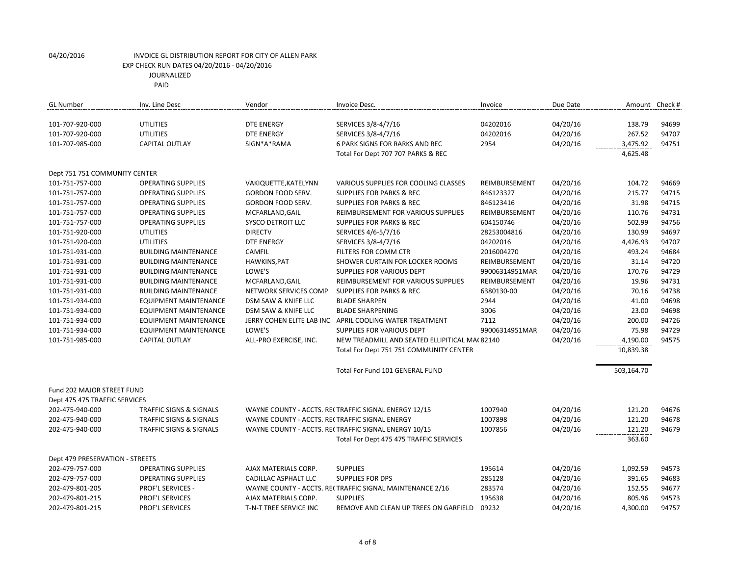PAID

| <b>GL Number</b>                | Inv. Line Desc                     | Vendor                                         | Invoice Desc.                                            | Invoice        | Due Date | Amount Check # |       |
|---------------------------------|------------------------------------|------------------------------------------------|----------------------------------------------------------|----------------|----------|----------------|-------|
| 101-707-920-000                 | <b>UTILITIES</b>                   | <b>DTE ENERGY</b>                              | SERVICES 3/8-4/7/16                                      | 04202016       | 04/20/16 | 138.79         | 94699 |
| 101-707-920-000                 | <b>UTILITIES</b>                   | <b>DTE ENERGY</b>                              | SERVICES 3/8-4/7/16                                      | 04202016       | 04/20/16 | 267.52         | 94707 |
| 101-707-985-000                 | <b>CAPITAL OUTLAY</b>              | SIGN*A*RAMA                                    | 6 PARK SIGNS FOR RARKS AND REC                           | 2954           | 04/20/16 | 3,475.92       | 94751 |
|                                 |                                    |                                                | Total For Dept 707 707 PARKS & REC                       |                |          | 4,625.48       |       |
| Dept 751 751 COMMUNITY CENTER   |                                    |                                                |                                                          |                |          |                |       |
| 101-751-757-000                 | <b>OPERATING SUPPLIES</b>          | VAKIQUETTE, KATELYNN                           | VARIOUS SUPPLIES FOR COOLING CLASSES                     | REIMBURSEMENT  | 04/20/16 | 104.72         | 94669 |
| 101-751-757-000                 | <b>OPERATING SUPPLIES</b>          | GORDON FOOD SERV.                              | <b>SUPPLIES FOR PARKS &amp; REC</b>                      | 846123327      | 04/20/16 | 215.77         | 94715 |
| 101-751-757-000                 | <b>OPERATING SUPPLIES</b>          | GORDON FOOD SERV.                              | <b>SUPPLIES FOR PARKS &amp; REC</b>                      | 846123416      | 04/20/16 | 31.98          | 94715 |
| 101-751-757-000                 | <b>OPERATING SUPPLIES</b>          | MCFARLAND, GAIL                                | REIMBURSEMENT FOR VARIOUS SUPPLIES                       | REIMBURSEMENT  | 04/20/16 | 110.76         | 94731 |
| 101-751-757-000                 | <b>OPERATING SUPPLIES</b>          | <b>SYSCO DETROIT LLC</b>                       | <b>SUPPLIES FOR PARKS &amp; REC</b>                      | 604150746      | 04/20/16 | 502.99         | 94756 |
| 101-751-920-000                 | <b>UTILITIES</b>                   | <b>DIRECTV</b>                                 | SERVICES 4/6-5/7/16                                      | 28253004816    | 04/20/16 | 130.99         | 94697 |
| 101-751-920-000                 | <b>UTILITIES</b>                   | <b>DTE ENERGY</b>                              | SERVICES 3/8-4/7/16                                      | 04202016       | 04/20/16 | 4,426.93       | 94707 |
| 101-751-931-000                 | <b>BUILDING MAINTENANCE</b>        | CAMFIL                                         | FILTERS FOR COMM CTR                                     | 2016004270     | 04/20/16 | 493.24         | 94684 |
| 101-751-931-000                 | <b>BUILDING MAINTENANCE</b>        | HAWKINS, PAT                                   | SHOWER CURTAIN FOR LOCKER ROOMS                          | REIMBURSEMENT  | 04/20/16 | 31.14          | 94720 |
| 101-751-931-000                 | <b>BUILDING MAINTENANCE</b>        | LOWE'S                                         | <b>SUPPLIES FOR VARIOUS DEPT</b>                         | 99006314951MAR | 04/20/16 | 170.76         | 94729 |
| 101-751-931-000                 | <b>BUILDING MAINTENANCE</b>        | MCFARLAND, GAIL                                | REIMBURSEMENT FOR VARIOUS SUPPLIES                       | REIMBURSEMENT  | 04/20/16 | 19.96          | 94731 |
| 101-751-931-000                 | <b>BUILDING MAINTENANCE</b>        | NETWORK SERVICES COMP                          | <b>SUPPLIES FOR PARKS &amp; REC</b>                      | 6380130-00     | 04/20/16 | 70.16          | 94738 |
| 101-751-934-000                 | <b>EQUIPMENT MAINTENANCE</b>       | DSM SAW & KNIFE LLC                            | <b>BLADE SHARPEN</b>                                     | 2944           | 04/20/16 | 41.00          | 94698 |
| 101-751-934-000                 | <b>EQUIPMENT MAINTENANCE</b>       | DSM SAW & KNIFE LLC                            | <b>BLADE SHARPENING</b>                                  | 3006           | 04/20/16 | 23.00          | 94698 |
| 101-751-934-000                 | EQUIPMENT MAINTENANCE              |                                                | JERRY COHEN ELITE LAB INC APRIL COOLING WATER TREATMENT  | 7112           | 04/20/16 | 200.00         | 94726 |
| 101-751-934-000                 | EQUIPMENT MAINTENANCE              | LOWE'S                                         | SUPPLIES FOR VARIOUS DEPT                                | 99006314951MAR | 04/20/16 | 75.98          | 94729 |
| 101-751-985-000                 | <b>CAPITAL OUTLAY</b>              | ALL-PRO EXERCISE, INC.                         | NEW TREADMILL AND SEATED ELLIPITICAL MA(82140            |                | 04/20/16 | 4,190.00       | 94575 |
|                                 |                                    |                                                | Total For Dept 751 751 COMMUNITY CENTER                  |                |          | 10,839.38      |       |
|                                 |                                    |                                                | Total For Fund 101 GENERAL FUND                          |                |          | 503,164.70     |       |
| Fund 202 MAJOR STREET FUND      |                                    |                                                |                                                          |                |          |                |       |
| Dept 475 475 TRAFFIC SERVICES   |                                    |                                                |                                                          |                |          |                |       |
| 202-475-940-000                 | <b>TRAFFIC SIGNS &amp; SIGNALS</b> |                                                | WAYNE COUNTY - ACCTS. RECTRAFFIC SIGNAL ENERGY 12/15     | 1007940        | 04/20/16 | 121.20         | 94676 |
| 202-475-940-000                 | <b>TRAFFIC SIGNS &amp; SIGNALS</b> | WAYNE COUNTY - ACCTS. RECTRAFFIC SIGNAL ENERGY |                                                          | 1007898        | 04/20/16 | 121.20         | 94678 |
| 202-475-940-000                 | <b>TRAFFIC SIGNS &amp; SIGNALS</b> |                                                | WAYNE COUNTY - ACCTS. RECTRAFFIC SIGNAL ENERGY 10/15     | 1007856        | 04/20/16 | 121.20         | 94679 |
|                                 |                                    |                                                | Total For Dept 475 475 TRAFFIC SERVICES                  |                |          | 363.60         |       |
| Dept 479 PRESERVATION - STREETS |                                    |                                                |                                                          |                |          |                |       |
| 202-479-757-000                 | <b>OPERATING SUPPLIES</b>          | AJAX MATERIALS CORP.                           | <b>SUPPLIES</b>                                          | 195614         | 04/20/16 | 1,092.59       | 94573 |
| 202-479-757-000                 | <b>OPERATING SUPPLIES</b>          | CADILLAC ASPHALT LLC                           | <b>SUPPLIES FOR DPS</b>                                  | 285128         | 04/20/16 | 391.65         | 94683 |
| 202-479-801-205                 | PROF'L SERVICES -                  |                                                | WAYNE COUNTY - ACCTS. RECTRAFFIC SIGNAL MAINTENANCE 2/16 | 283574         | 04/20/16 | 152.55         | 94677 |
| 202-479-801-215                 | PROF'L SERVICES                    | AJAX MATERIALS CORP.                           | <b>SUPPLIES</b>                                          | 195638         | 04/20/16 | 805.96         | 94573 |
| 202-479-801-215                 | <b>PROF'L SERVICES</b>             | T-N-T TREE SERVICE INC                         | REMOVE AND CLEAN UP TREES ON GARFIELD                    | 09232          | 04/20/16 | 4,300.00       | 94757 |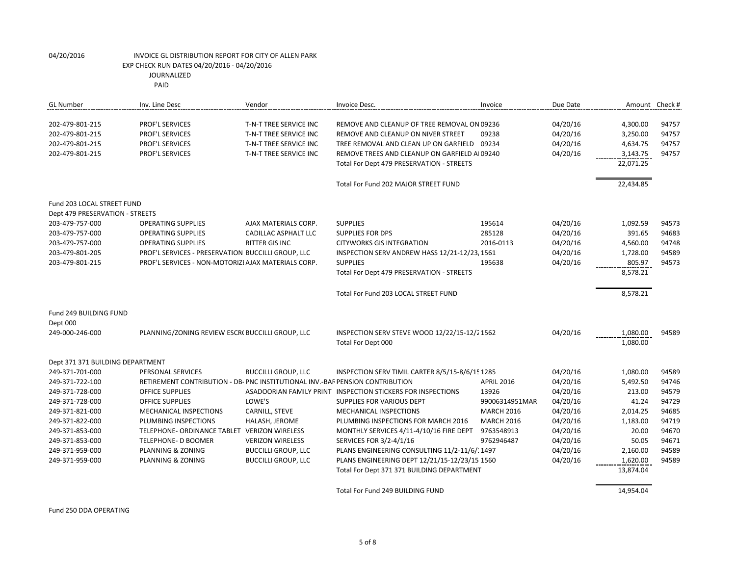PAID

| <b>GL Number</b>                                                         | Inv. Line Desc                                                                         | Vendor                                                                                               | Invoice Desc.                                                                                                                                                                                                           | Invoice           | Due Date                                     | Amount Check #                                            |                                  |
|--------------------------------------------------------------------------|----------------------------------------------------------------------------------------|------------------------------------------------------------------------------------------------------|-------------------------------------------------------------------------------------------------------------------------------------------------------------------------------------------------------------------------|-------------------|----------------------------------------------|-----------------------------------------------------------|----------------------------------|
| 202-479-801-215<br>202-479-801-215<br>202-479-801-215<br>202-479-801-215 | PROF'L SERVICES<br>PROF'L SERVICES<br><b>PROF'L SERVICES</b><br><b>PROF'L SERVICES</b> | T-N-T TREE SERVICE INC<br>T-N-T TREE SERVICE INC<br>T-N-T TREE SERVICE INC<br>T-N-T TREE SERVICE INC | REMOVE AND CLEANUP OF TREE REMOVAL ON 09236<br>REMOVE AND CLEANUP ON NIVER STREET<br>TREE REMOVAL AND CLEAN UP ON GARFIELD<br>REMOVE TREES AND CLEANUP ON GARFIELD AL09240<br>Total For Dept 479 PRESERVATION - STREETS | 09238<br>09234    | 04/20/16<br>04/20/16<br>04/20/16<br>04/20/16 | 4,300.00<br>3,250.00<br>4,634.75<br>3,143.75<br>22,071.25 | 94757<br>94757<br>94757<br>94757 |
|                                                                          |                                                                                        |                                                                                                      | Total For Fund 202 MAJOR STREET FUND                                                                                                                                                                                    |                   |                                              | 22,434.85                                                 |                                  |
| Fund 203 LOCAL STREET FUND<br>Dept 479 PRESERVATION - STREETS            |                                                                                        |                                                                                                      |                                                                                                                                                                                                                         |                   |                                              |                                                           |                                  |
| 203-479-757-000                                                          | <b>OPERATING SUPPLIES</b>                                                              | AJAX MATERIALS CORP.                                                                                 | <b>SUPPLIES</b>                                                                                                                                                                                                         | 195614            | 04/20/16                                     | 1,092.59                                                  | 94573                            |
| 203-479-757-000                                                          | <b>OPERATING SUPPLIES</b>                                                              | CADILLAC ASPHALT LLC                                                                                 | <b>SUPPLIES FOR DPS</b>                                                                                                                                                                                                 | 285128            | 04/20/16                                     | 391.65                                                    | 94683                            |
| 203-479-757-000                                                          | <b>OPERATING SUPPLIES</b>                                                              | <b>RITTER GIS INC</b>                                                                                | <b>CITYWORKS GIS INTEGRATION</b>                                                                                                                                                                                        | 2016-0113         | 04/20/16                                     | 4,560.00                                                  | 94748                            |
| 203-479-801-205                                                          | PROF'L SERVICES - PRESERVATION BUCCILLI GROUP, LLC                                     |                                                                                                      | INSPECTION SERV ANDREW HASS 12/21-12/23, 1561                                                                                                                                                                           |                   | 04/20/16                                     | 1,728.00                                                  | 94589                            |
| 203-479-801-215                                                          | PROF'L SERVICES - NON-MOTORIZI AJAX MATERIALS CORP.                                    |                                                                                                      | <b>SUPPLIES</b>                                                                                                                                                                                                         | 195638            | 04/20/16                                     | 805.97                                                    | 94573                            |
|                                                                          |                                                                                        |                                                                                                      | Total For Dept 479 PRESERVATION - STREETS                                                                                                                                                                               |                   |                                              | 8,578.21                                                  |                                  |
|                                                                          |                                                                                        |                                                                                                      | Total For Fund 203 LOCAL STREET FUND                                                                                                                                                                                    |                   |                                              | 8,578.21                                                  |                                  |
| Fund 249 BUILDING FUND<br>Dept 000                                       |                                                                                        |                                                                                                      |                                                                                                                                                                                                                         |                   |                                              |                                                           |                                  |
| 249-000-246-000                                                          | PLANNING/ZONING REVIEW ESCR( BUCCILLI GROUP, LLC                                       |                                                                                                      | INSPECTION SERV STEVE WOOD 12/22/15-12/2 1562<br>Total For Dept 000                                                                                                                                                     |                   | 04/20/16                                     | 1,080.00<br>1,080.00                                      | 94589                            |
|                                                                          |                                                                                        |                                                                                                      |                                                                                                                                                                                                                         |                   |                                              |                                                           |                                  |
| Dept 371 371 BUILDING DEPARTMENT                                         |                                                                                        |                                                                                                      |                                                                                                                                                                                                                         |                   |                                              |                                                           |                                  |
| 249-371-701-000                                                          | PERSONAL SERVICES                                                                      | <b>BUCCILLI GROUP, LLC</b>                                                                           | INSPECTION SERV TIMIL CARTER 8/5/15-8/6/15 1285                                                                                                                                                                         |                   | 04/20/16                                     | 1,080.00                                                  | 94589                            |
| 249-371-722-100                                                          | RETIREMENT CONTRIBUTION - DB- PNC INSTITUTIONAL INV.-BAF PENSION CONTRIBUTION          |                                                                                                      |                                                                                                                                                                                                                         | <b>APRIL 2016</b> | 04/20/16                                     | 5,492.50                                                  | 94746                            |
| 249-371-728-000                                                          | <b>OFFICE SUPPLIES</b>                                                                 |                                                                                                      | ASADOORIAN FAMILY PRINT INSPECTION STICKERS FOR INSPECTIONS                                                                                                                                                             | 13926             | 04/20/16                                     | 213.00                                                    | 94579                            |
| 249-371-728-000                                                          | <b>OFFICE SUPPLIES</b>                                                                 | LOWE'S                                                                                               | SUPPLIES FOR VARIOUS DEPT                                                                                                                                                                                               | 99006314951MAR    | 04/20/16                                     | 41.24                                                     | 94729                            |
| 249-371-821-000                                                          | MECHANICAL INSPECTIONS                                                                 | CARNILL, STEVE                                                                                       | <b>MECHANICAL INSPECTIONS</b>                                                                                                                                                                                           | <b>MARCH 2016</b> | 04/20/16                                     | 2,014.25                                                  | 94685                            |
| 249-371-822-000                                                          | PLUMBING INSPECTIONS                                                                   | HALASH, JEROME                                                                                       | PLUMBING INSPECTIONS FOR MARCH 2016                                                                                                                                                                                     | <b>MARCH 2016</b> | 04/20/16                                     | 1,183.00                                                  | 94719                            |
| 249-371-853-000                                                          | TELEPHONE- ORDINANCE TABLET                                                            | <b>VERIZON WIRELESS</b>                                                                              | MONTHLY SERVICES 4/11-4/10/16 FIRE DEPT                                                                                                                                                                                 | 9763548913        | 04/20/16                                     | 20.00                                                     | 94670                            |
| 249-371-853-000                                                          | TELEPHONE- D BOOMER                                                                    | <b>VERIZON WIRELESS</b>                                                                              | SERVICES FOR 3/2-4/1/16                                                                                                                                                                                                 | 9762946487        | 04/20/16                                     | 50.05                                                     | 94671                            |
| 249-371-959-000                                                          | PLANNING & ZONING                                                                      | <b>BUCCILLI GROUP, LLC</b>                                                                           | PLANS ENGINEERING CONSULTING 11/2-11/6/: 1497                                                                                                                                                                           |                   | 04/20/16                                     | 2,160.00                                                  | 94589                            |
| 249-371-959-000                                                          | PLANNING & ZONING                                                                      | <b>BUCCILLI GROUP, LLC</b>                                                                           | PLANS ENGINEERING DEPT 12/21/15-12/23/15 1560                                                                                                                                                                           |                   | 04/20/16                                     | 1,620.00                                                  | 94589                            |
|                                                                          |                                                                                        |                                                                                                      | Total For Dept 371 371 BUILDING DEPARTMENT                                                                                                                                                                              |                   |                                              | 13,874.04                                                 |                                  |
|                                                                          |                                                                                        |                                                                                                      | Total For Fund 249 BUILDING FUND                                                                                                                                                                                        |                   |                                              | 14,954.04                                                 |                                  |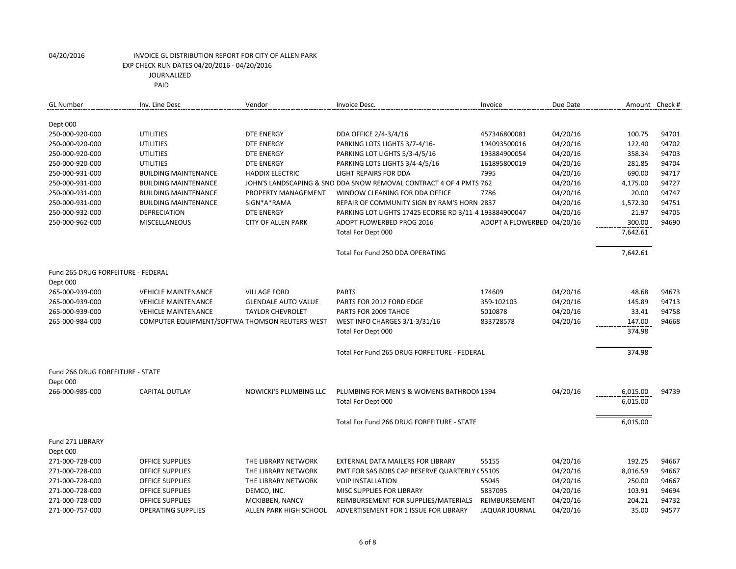| <b>GL Number</b>                   | Inv. Line Desc                                 | Vendor                     | Invoice Desc.                                                      | Invoice                    | Due Date | Amount Check # |       |
|------------------------------------|------------------------------------------------|----------------------------|--------------------------------------------------------------------|----------------------------|----------|----------------|-------|
|                                    |                                                |                            |                                                                    |                            |          |                |       |
| Dept 000                           |                                                |                            |                                                                    |                            |          |                |       |
| 250-000-920-000                    | <b>UTILITIES</b>                               | <b>DTE ENERGY</b>          | DDA OFFICE 2/4-3/4/16                                              | 457346800081               | 04/20/16 | 100.75         | 94701 |
| 250-000-920-000                    | <b>UTILITIES</b>                               | <b>DTE ENERGY</b>          | PARKING LOTS LIGHTS 3/7-4/16-                                      | 194093500016               | 04/20/16 | 122.40         | 94702 |
| 250-000-920-000                    | <b>UTILITIES</b>                               | <b>DTE ENERGY</b>          | PARKING LOT LIGHTS 5/3-4/5/16                                      | 193884900054               | 04/20/16 | 358.34         | 94703 |
| 250-000-920-000                    | <b>UTILITIES</b>                               | <b>DTE ENERGY</b>          | PARKING LOTS LIGHTS 3/4-4/5/16                                     | 161895800019               | 04/20/16 | 281.85         | 94704 |
| 250-000-931-000                    | <b>BUILDING MAINTENANCE</b>                    | <b>HADDIX ELECTRIC</b>     | <b>LIGHT REPAIRS FOR DDA</b>                                       | 7995                       | 04/20/16 | 690.00         | 94717 |
| 250-000-931-000                    | <b>BUILDING MAINTENANCE</b>                    |                            | JOHN'S LANDSCAPING & SNO DDA SNOW REMOVAL CONTRACT 4 OF 4 PMTS 762 |                            | 04/20/16 | 4,175.00       | 94727 |
| 250-000-931-000                    | <b>BUILDING MAINTENANCE</b>                    | PROPERTY MANAGEMENT        | WINDOW CLEANING FOR DDA OFFICE                                     | 7786                       | 04/20/16 | 20.00          | 94747 |
| 250-000-931-000                    | <b>BUILDING MAINTENANCE</b>                    | SIGN*A*RAMA                | REPAIR OF COMMUNITY SIGN BY RAM'S HORN 2837                        |                            | 04/20/16 | 1,572.30       | 94751 |
| 250-000-932-000                    | DEPRECIATION                                   | <b>DTE ENERGY</b>          | PARKING LOT LIGHTS 17425 ECORSE RD 3/11-4 193884900047             |                            | 04/20/16 | 21.97          | 94705 |
| 250-000-962-000                    | <b>MISCELLANEOUS</b>                           | <b>CITY OF ALLEN PARK</b>  | ADOPT FLOWERBED PROG 2016                                          | ADOPT A FLOWERBED 04/20/16 |          | 300.00         | 94690 |
|                                    |                                                |                            | Total For Dept 000                                                 |                            |          | 7,642.61       |       |
|                                    |                                                |                            | Total For Fund 250 DDA OPERATING                                   |                            |          | 7,642.61       |       |
|                                    |                                                |                            |                                                                    |                            |          |                |       |
| Fund 265 DRUG FORFEITURE - FEDERAL |                                                |                            |                                                                    |                            |          |                |       |
| Dept 000                           |                                                |                            |                                                                    |                            |          |                |       |
| 265-000-939-000                    | <b>VEHICLE MAINTENANCE</b>                     | <b>VILLAGE FORD</b>        | <b>PARTS</b>                                                       | 174609                     | 04/20/16 | 48.68          | 94673 |
| 265-000-939-000                    | <b>VEHICLE MAINTENANCE</b>                     | <b>GLENDALE AUTO VALUE</b> | PARTS FOR 2012 FORD EDGE                                           | 359-102103                 | 04/20/16 | 145.89         | 94713 |
| 265-000-939-000                    | <b>VEHICLE MAINTENANCE</b>                     | <b>TAYLOR CHEVROLET</b>    | PARTS FOR 2009 TAHOE                                               | 5010878                    | 04/20/16 | 33.41          | 94758 |
| 265-000-984-000                    | COMPUTER EQUIPMENT/SOFTWA THOMSON REUTERS-WEST |                            | WEST INFO CHARGES 3/1-3/31/16                                      | 833728578                  | 04/20/16 | 147.00         | 94668 |
|                                    |                                                |                            | Total For Dept 000                                                 |                            |          | 374.98         |       |
|                                    |                                                |                            | Total For Fund 265 DRUG FORFEITURE - FEDERAL                       |                            |          | 374.98         |       |
|                                    |                                                |                            |                                                                    |                            |          |                |       |
| Fund 266 DRUG FORFEITURE - STATE   |                                                |                            |                                                                    |                            |          |                |       |
| Dept 000                           |                                                |                            |                                                                    |                            |          |                |       |
| 266-000-985-000                    | <b>CAPITAL OUTLAY</b>                          | NOWICKI'S PLUMBING LLC     | PLUMBING FOR MEN'S & WOMENS BATHROON 1394                          |                            | 04/20/16 | 6,015.00       | 94739 |
|                                    |                                                |                            | Total For Dept 000                                                 |                            |          | 6,015.00       |       |
|                                    |                                                |                            | Total For Fund 266 DRUG FORFEITURE - STATE                         |                            |          | 6,015.00       |       |
| Fund 271 LIBRARY                   |                                                |                            |                                                                    |                            |          |                |       |
| Dept 000                           |                                                |                            |                                                                    |                            |          |                |       |
| 271-000-728-000                    | <b>OFFICE SUPPLIES</b>                         | THE LIBRARY NETWORK        | EXTERNAL DATA MAILERS FOR LIBRARY                                  | 55155                      | 04/20/16 | 192.25         | 94667 |
| 271-000-728-000                    | <b>OFFICE SUPPLIES</b>                         | THE LIBRARY NETWORK        | PMT FOR SAS BDBS CAP RESERVE QUARTERLY (55105                      |                            | 04/20/16 | 8,016.59       | 94667 |
| 271-000-728-000                    | <b>OFFICE SUPPLIES</b>                         | THE LIBRARY NETWORK        | <b>VOIP INSTALLATION</b>                                           | 55045                      | 04/20/16 | 250.00         | 94667 |
| 271-000-728-000                    | OFFICE SUPPLIES                                | DEMCO, INC.                | MISC SUPPLIES FOR LIBRARY                                          | 5837095                    | 04/20/16 | 103.91         | 94694 |
| 271-000-728-000                    | <b>OFFICE SUPPLIES</b>                         | MCKIBBEN, NANCY            | REIMBURSEMENT FOR SUPPLIES/MATERIALS                               | REIMBURSEMENT              | 04/20/16 | 204.21         | 94732 |
| 271-000-757-000                    | <b>OPERATING SUPPLIES</b>                      | ALLEN PARK HIGH SCHOOL     | ADVERTISEMENT FOR 1 ISSUE FOR LIBRARY                              | <b>JAQUAR JOURNAL</b>      | 04/20/16 | 35.00          | 94577 |
|                                    |                                                |                            |                                                                    |                            |          |                |       |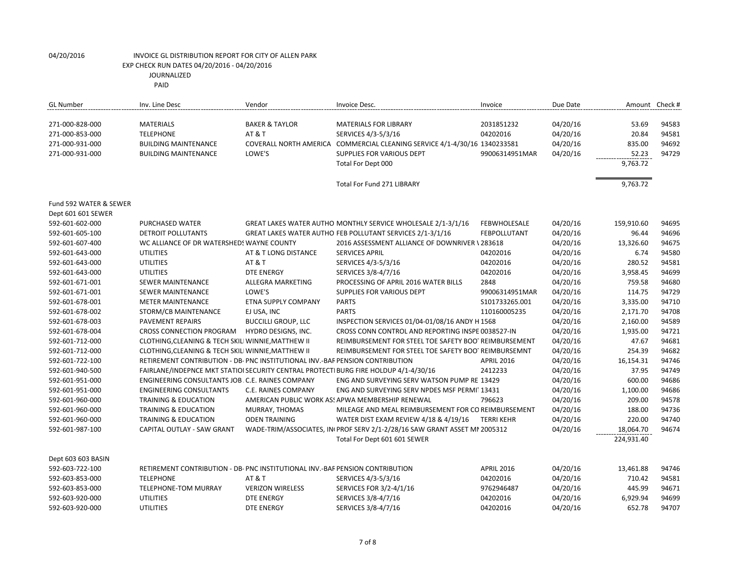| <b>GL Number</b>       | Inv. Line Desc                                                                       | Vendor                     | Invoice Desc.                                                             | Invoice             | Due Date |            | Amount Check # |
|------------------------|--------------------------------------------------------------------------------------|----------------------------|---------------------------------------------------------------------------|---------------------|----------|------------|----------------|
| 271-000-828-000        | <b>MATERIALS</b>                                                                     | <b>BAKER &amp; TAYLOR</b>  | <b>MATERIALS FOR LIBRARY</b>                                              | 2031851232          | 04/20/16 | 53.69      | 94583          |
| 271-000-853-000        | <b>TELEPHONE</b>                                                                     | <b>AT &amp; T</b>          | SERVICES 4/3-5/3/16                                                       | 04202016            | 04/20/16 | 20.84      | 94581          |
| 271-000-931-000        | <b>BUILDING MAINTENANCE</b>                                                          |                            | COVERALL NORTH AMERICA COMMERCIAL CLEANING SERVICE 4/1-4/30/16 1340233581 |                     | 04/20/16 | 835.00     | 94692          |
| 271-000-931-000        | <b>BUILDING MAINTENANCE</b>                                                          | LOWE'S                     | <b>SUPPLIES FOR VARIOUS DEPT</b>                                          | 99006314951MAR      | 04/20/16 | 52.23      | 94729          |
|                        |                                                                                      |                            |                                                                           |                     |          |            |                |
|                        |                                                                                      |                            | Total For Dept 000                                                        |                     |          | 9,763.72   |                |
|                        |                                                                                      |                            | Total For Fund 271 LIBRARY                                                |                     |          | 9,763.72   |                |
| Fund 592 WATER & SEWER |                                                                                      |                            |                                                                           |                     |          |            |                |
| Dept 601 601 SEWER     |                                                                                      |                            |                                                                           |                     |          |            |                |
| 592-601-602-000        | PURCHASED WATER                                                                      |                            | GREAT LAKES WATER AUTHO MONTHLY SERVICE WHOLESALE 2/1-3/1/16              | <b>FEBWHOLESALE</b> | 04/20/16 | 159,910.60 | 94695          |
| 592-601-605-100        | DETROIT POLLUTANTS                                                                   |                            | GREAT LAKES WATER AUTHO FEB POLLUTANT SERVICES 2/1-3/1/16                 | FEBPOLLUTANT        | 04/20/16 | 96.44      | 94696          |
| 592-601-607-400        | WC ALLIANCE OF DR WATERSHEDS WAYNE COUNTY                                            |                            | 2016 ASSESSMENT ALLIANCE OF DOWNRIVER \283618                             |                     | 04/20/16 | 13,326.60  | 94675          |
| 592-601-643-000        | <b>UTILITIES</b>                                                                     | AT & T LONG DISTANCE       | <b>SERVICES APRIL</b>                                                     | 04202016            | 04/20/16 | 6.74       | 94580          |
| 592-601-643-000        | <b>UTILITIES</b>                                                                     | <b>AT &amp; T</b>          | SERVICES 4/3-5/3/16                                                       | 04202016            | 04/20/16 | 280.52     | 94581          |
| 592-601-643-000        | <b>UTILITIES</b>                                                                     | <b>DTE ENERGY</b>          | SERVICES 3/8-4/7/16                                                       | 04202016            | 04/20/16 | 3,958.45   | 94699          |
| 592-601-671-001        | SEWER MAINTENANCE                                                                    | ALLEGRA MARKETING          | PROCESSING OF APRIL 2016 WATER BILLS                                      | 2848                | 04/20/16 | 759.58     | 94680          |
| 592-601-671-001        | <b>SEWER MAINTENANCE</b>                                                             | LOWE'S                     | <b>SUPPLIES FOR VARIOUS DEPT</b>                                          | 99006314951MAR      | 04/20/16 | 114.75     | 94729          |
| 592-601-678-001        | <b>METER MAINTENANCE</b>                                                             | ETNA SUPPLY COMPANY        | <b>PARTS</b>                                                              | S101733265.001      | 04/20/16 | 3,335.00   | 94710          |
| 592-601-678-002        | STORM/CB MAINTENANCE                                                                 | EJ USA, INC                | <b>PARTS</b>                                                              | 110160005235        | 04/20/16 | 2,171.70   | 94708          |
| 592-601-678-003        | PAVEMENT REPAIRS                                                                     | <b>BUCCILLI GROUP, LLC</b> | INSPECTION SERVICES 01/04-01/08/16 ANDY H 1568                            |                     | 04/20/16 | 2,160.00   | 94589          |
| 592-601-678-004        | CROSS CONNECTION PROGRAM                                                             | HYDRO DESIGNS, INC.        | CROSS CONN CONTROL AND REPORTING INSPE 0038527-IN                         |                     | 04/20/16 | 1,935.00   | 94721          |
| 592-601-712-000        | CLOTHING, CLEANING & TECH SKILI WINNIE, MATTHEW II                                   |                            | REIMBURSEMENT FOR STEEL TOE SAFETY BOO' REIMBURSEMENT                     |                     | 04/20/16 | 47.67      | 94681          |
| 592-601-712-000        | CLOTHING, CLEANING & TECH SKILI WINNIE, MATTHEW II                                   |                            | REIMBURSEMENT FOR STEEL TOE SAFETY BOO' REIMBURSEMNT                      |                     | 04/20/16 | 254.39     | 94682          |
| 592-601-722-100        | RETIREMENT CONTRIBUTION - DB- PNC INSTITUTIONAL INV.-BAF PENSION CONTRIBUTION        |                            |                                                                           | <b>APRIL 2016</b>   | 04/20/16 | 16,154.31  | 94746          |
| 592-601-940-500        | FAIRLANE/INDEPNCE MKT STATIOI SECURITY CENTRAL PROTECTI BURG FIRE HOLDUP 4/1-4/30/16 |                            |                                                                           | 2412233             | 04/20/16 | 37.95      | 94749          |
| 592-601-951-000        | ENGINEERING CONSULTANTS JOB. C.E. RAINES COMPANY                                     |                            | ENG AND SURVEYING SERV WATSON PUMP RE 13429                               |                     | 04/20/16 | 600.00     | 94686          |
| 592-601-951-000        | <b>ENGINEERING CONSULTANTS</b>                                                       | C.E. RAINES COMPANY        | ENG AND SURVEYING SERV NPDES MSF PERMIT 13431                             |                     | 04/20/16 | 1,100.00   | 94686          |
| 592-601-960-000        | <b>TRAINING &amp; EDUCATION</b>                                                      |                            | AMERICAN PUBLIC WORK AS! APWA MEMBERSHIP RENEWAL                          | 796623              | 04/20/16 | 209.00     | 94578          |
| 592-601-960-000        | <b>TRAINING &amp; EDUCATION</b>                                                      | MURRAY, THOMAS             | MILEAGE AND MEAL REIMBURSEMENT FOR CO REIMBURSEMENT                       |                     | 04/20/16 | 188.00     | 94736          |
| 592-601-960-000        | <b>TRAINING &amp; EDUCATION</b>                                                      | <b>ODEN TRAINING</b>       | WATER DIST EXAM REVIEW 4/18 & 4/19/16                                     | TERRI KEHR          | 04/20/16 | 220.00     | 94740          |
| 592-601-987-100        | CAPITAL OUTLAY - SAW GRANT                                                           |                            | WADE-TRIM/ASSOCIATES, IN PROF SERV 2/1-2/28/16 SAW GRANT ASSET MI 2005312 |                     | 04/20/16 | 18,064.70  | 94674          |
|                        |                                                                                      |                            | Total For Dept 601 601 SEWER                                              |                     |          | 224,931.40 |                |
| Dept 603 603 BASIN     |                                                                                      |                            |                                                                           |                     |          |            |                |
| 592-603-722-100        | RETIREMENT CONTRIBUTION - DB- PNC INSTITUTIONAL INV.-BAF PENSION CONTRIBUTION        |                            |                                                                           | <b>APRIL 2016</b>   | 04/20/16 | 13,461.88  | 94746          |
| 592-603-853-000        | <b>TELEPHONE</b>                                                                     | <b>AT &amp; T</b>          | SERVICES 4/3-5/3/16                                                       | 04202016            | 04/20/16 | 710.42     | 94581          |
| 592-603-853-000        | TELEPHONE-TOM MURRAY                                                                 | <b>VERIZON WIRELESS</b>    | SERVICES FOR 3/2-4/1/16                                                   | 9762946487          | 04/20/16 | 445.99     | 94671          |
| 592-603-920-000        | <b>UTILITIES</b>                                                                     | <b>DTE ENERGY</b>          | SERVICES 3/8-4/7/16                                                       | 04202016            | 04/20/16 | 6,929.94   | 94699          |
| 592-603-920-000        | <b>UTILITIES</b>                                                                     | <b>DTE ENERGY</b>          | SERVICES 3/8-4/7/16                                                       | 04202016            | 04/20/16 | 652.78     | 94707          |